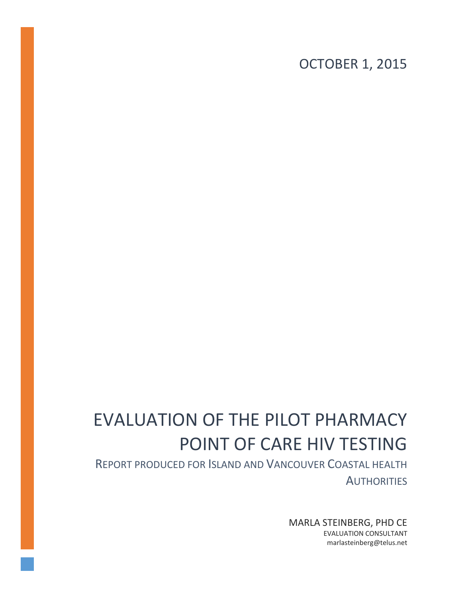OCTOBER 1, 2015

# EVALUATION OF THE PILOT PHARMACY POINT OF CARE HIV TESTING

REPORT PRODUCED FOR ISLAND AND VANCOUVER COASTAL HEALTH **AUTHORITIES** 

> MARLA STEINBERG, PHD CE EVALUATION CONSULTANT marlasteinberg@telus.net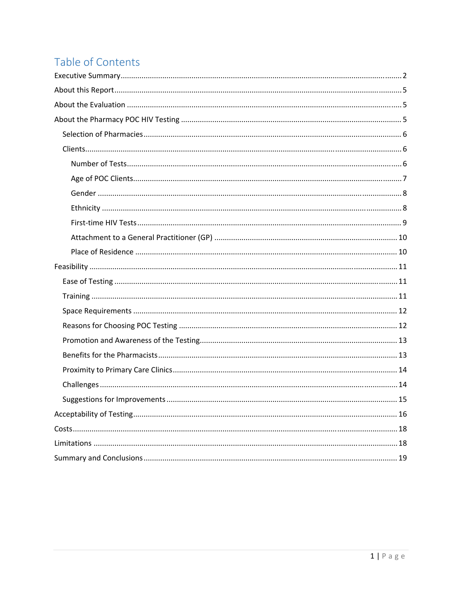## Table of Contents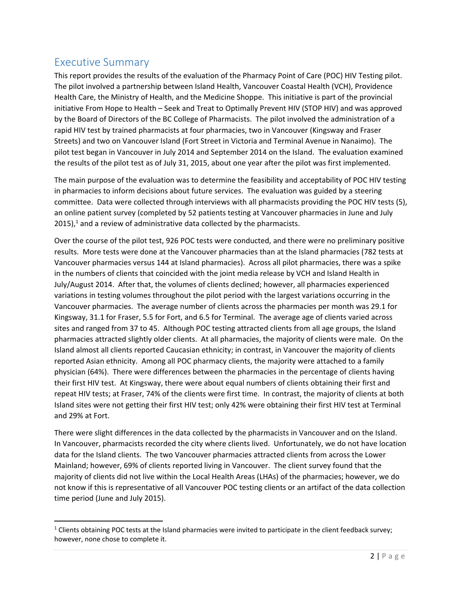## Executive Summary

This report provides the results of the evaluation of the Pharmacy Point of Care (POC) HIV Testing pilot. The pilot involved a partnership between Island Health, Vancouver Coastal Health (VCH), Providence Health Care, the Ministry of Health, and the Medicine Shoppe. This initiative is part of the provincial initiative From Hope to Health – Seek and Treat to Optimally Prevent HIV (STOP HIV) and was approved by the Board of Directors of the BC College of Pharmacists. The pilot involved the administration of a rapid HIV test by trained pharmacists at four pharmacies, two in Vancouver (Kingsway and Fraser Streets) and two on Vancouver Island (Fort Street in Victoria and Terminal Avenue in Nanaimo). The pilot test began in Vancouver in July 2014 and September 2014 on the Island. The evaluation examined the results of the pilot test as of July 31, 2015, about one year after the pilot was first implemented.

The main purpose of the evaluation was to determine the feasibility and acceptability of POC HIV testing in pharmacies to inform decisions about future services. The evaluation was guided by a steering committee. Data were collected through interviews with all pharmacists providing the POC HIV tests (5), an online patient survey (completed by 52 patients testing at Vancouver pharmacies in June and July 2015), $<sup>1</sup>$  and a review of administrative data collected by the pharmacists.</sup>

Over the course of the pilot test, 926 POC tests were conducted, and there were no preliminary positive results. More tests were done at the Vancouver pharmacies than at the Island pharmacies (782 tests at Vancouver pharmacies versus 144 at Island pharmacies). Across all pilot pharmacies, there was a spike in the numbers of clients that coincided with the joint media release by VCH and Island Health in July/August 2014. After that, the volumes of clients declined; however, all pharmacies experienced variations in testing volumes throughout the pilot period with the largest variations occurring in the Vancouver pharmacies. The average number of clients across the pharmacies per month was 29.1 for Kingsway, 31.1 for Fraser, 5.5 for Fort, and 6.5 for Terminal. The average age of clients varied across sites and ranged from 37 to 45. Although POC testing attracted clients from all age groups, the Island pharmacies attracted slightly older clients. At all pharmacies, the majority of clients were male. On the Island almost all clients reported Caucasian ethnicity; in contrast, in Vancouver the majority of clients reported Asian ethnicity. Among all POC pharmacy clients, the majority were attached to a family physician (64%). There were differences between the pharmacies in the percentage of clients having their first HIV test. At Kingsway, there were about equal numbers of clients obtaining their first and repeat HIV tests; at Fraser, 74% of the clients were first time. In contrast, the majority of clients at both Island sites were not getting their first HIV test; only 42% were obtaining their first HIV test at Terminal and 29% at Fort.

There were slight differences in the data collected by the pharmacists in Vancouver and on the Island. In Vancouver, pharmacists recorded the city where clients lived. Unfortunately, we do not have location data for the Island clients. The two Vancouver pharmacies attracted clients from across the Lower Mainland; however, 69% of clients reported living in Vancouver. The client survey found that the majority of clients did not live within the Local Health Areas (LHAs) of the pharmacies; however, we do not know if this is representative of all Vancouver POC testing clients or an artifact of the data collection time period (June and July 2015).

 $1$  Clients obtaining POC tests at the Island pharmacies were invited to participate in the client feedback survey; however, none chose to complete it.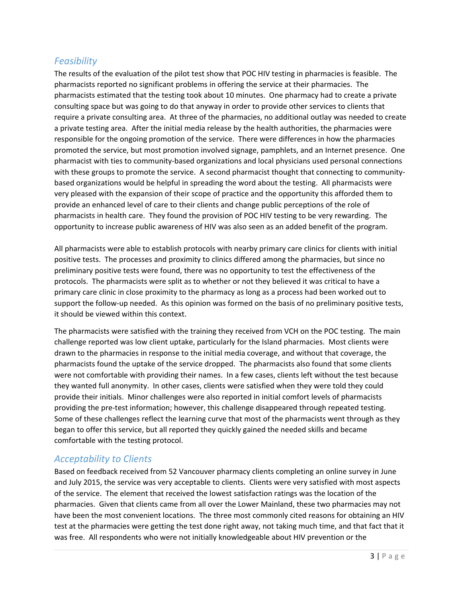## *Feasibility*

The results of the evaluation of the pilot test show that POC HIV testing in pharmacies is feasible. The pharmacists reported no significant problems in offering the service at their pharmacies. The pharmacists estimated that the testing took about 10 minutes. One pharmacy had to create a private consulting space but was going to do that anyway in order to provide other services to clients that require a private consulting area. At three of the pharmacies, no additional outlay was needed to create a private testing area. After the initial media release by the health authorities, the pharmacies were responsible for the ongoing promotion of the service. There were differences in how the pharmacies promoted the service, but most promotion involved signage, pamphlets, and an Internet presence. One pharmacist with ties to community‐based organizations and local physicians used personal connections with these groups to promote the service. A second pharmacist thought that connecting to communitybased organizations would be helpful in spreading the word about the testing. All pharmacists were very pleased with the expansion of their scope of practice and the opportunity this afforded them to provide an enhanced level of care to their clients and change public perceptions of the role of pharmacists in health care. They found the provision of POC HIV testing to be very rewarding. The opportunity to increase public awareness of HIV was also seen as an added benefit of the program.

All pharmacists were able to establish protocols with nearby primary care clinics for clients with initial positive tests. The processes and proximity to clinics differed among the pharmacies, but since no preliminary positive tests were found, there was no opportunity to test the effectiveness of the protocols. The pharmacists were split as to whether or not they believed it was critical to have a primary care clinic in close proximity to the pharmacy as long as a process had been worked out to support the follow-up needed. As this opinion was formed on the basis of no preliminary positive tests, it should be viewed within this context.

The pharmacists were satisfied with the training they received from VCH on the POC testing. The main challenge reported was low client uptake, particularly for the Island pharmacies. Most clients were drawn to the pharmacies in response to the initial media coverage, and without that coverage, the pharmacists found the uptake of the service dropped. The pharmacists also found that some clients were not comfortable with providing their names. In a few cases, clients left without the test because they wanted full anonymity. In other cases, clients were satisfied when they were told they could provide their initials. Minor challenges were also reported in initial comfort levels of pharmacists providing the pre‐test information; however, this challenge disappeared through repeated testing. Some of these challenges reflect the learning curve that most of the pharmacists went through as they began to offer this service, but all reported they quickly gained the needed skills and became comfortable with the testing protocol.

## *Acceptability to Clients*

Based on feedback received from 52 Vancouver pharmacy clients completing an online survey in June and July 2015, the service was very acceptable to clients. Clients were very satisfied with most aspects of the service. The element that received the lowest satisfaction ratings was the location of the pharmacies. Given that clients came from all over the Lower Mainland, these two pharmacies may not have been the most convenient locations. The three most commonly cited reasons for obtaining an HIV test at the pharmacies were getting the test done right away, not taking much time, and that fact that it was free. All respondents who were not initially knowledgeable about HIV prevention or the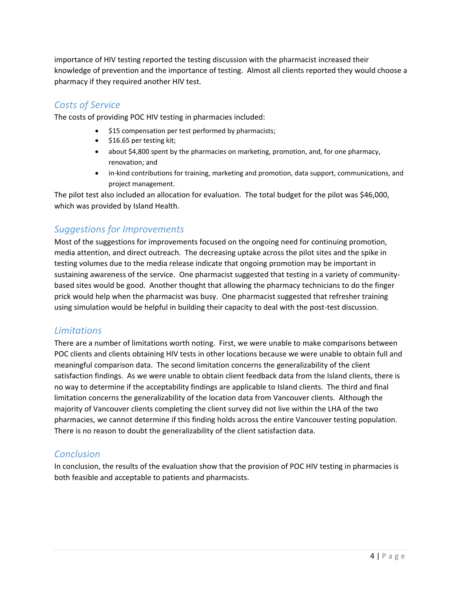importance of HIV testing reported the testing discussion with the pharmacist increased their knowledge of prevention and the importance of testing. Almost all clients reported they would choose a pharmacy if they required another HIV test.

## *Costs of Service*

The costs of providing POC HIV testing in pharmacies included:

- \$15 compensation per test performed by pharmacists;
- \$16.65 per testing kit;
- about \$4,800 spent by the pharmacies on marketing, promotion, and, for one pharmacy, renovation; and
- in‐kind contributions for training, marketing and promotion, data support, communications, and project management.

The pilot test also included an allocation for evaluation. The total budget for the pilot was \$46,000, which was provided by Island Health.

## *Suggestions for Improvements*

Most of the suggestions for improvements focused on the ongoing need for continuing promotion, media attention, and direct outreach. The decreasing uptake across the pilot sites and the spike in testing volumes due to the media release indicate that ongoing promotion may be important in sustaining awareness of the service. One pharmacist suggested that testing in a variety of community‐ based sites would be good. Another thought that allowing the pharmacy technicians to do the finger prick would help when the pharmacist was busy. One pharmacist suggested that refresher training using simulation would be helpful in building their capacity to deal with the post-test discussion.

## *Limitations*

There are a number of limitations worth noting. First, we were unable to make comparisons between POC clients and clients obtaining HIV tests in other locations because we were unable to obtain full and meaningful comparison data. The second limitation concerns the generalizability of the client satisfaction findings. As we were unable to obtain client feedback data from the Island clients, there is no way to determine if the acceptability findings are applicable to Island clients. The third and final limitation concerns the generalizability of the location data from Vancouver clients. Although the majority of Vancouver clients completing the client survey did not live within the LHA of the two pharmacies, we cannot determine if this finding holds across the entire Vancouver testing population. There is no reason to doubt the generalizability of the client satisfaction data.

## *Conclusion*

In conclusion, the results of the evaluation show that the provision of POC HIV testing in pharmacies is both feasible and acceptable to patients and pharmacists.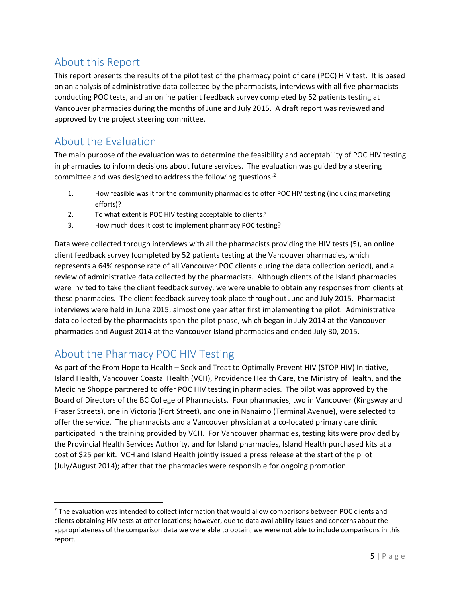## About this Report

This report presents the results of the pilot test of the pharmacy point of care (POC) HIV test. It is based on an analysis of administrative data collected by the pharmacists, interviews with all five pharmacists conducting POC tests, and an online patient feedback survey completed by 52 patients testing at Vancouver pharmacies during the months of June and July 2015. A draft report was reviewed and approved by the project steering committee.

## About the Evaluation

The main purpose of the evaluation was to determine the feasibility and acceptability of POC HIV testing in pharmacies to inform decisions about future services. The evaluation was guided by a steering committee and was designed to address the following questions:<sup>2</sup>

- 1. How feasible was it for the community pharmacies to offer POC HIV testing (including marketing efforts)?
- 2. To what extent is POC HIV testing acceptable to clients?
- 3. How much does it cost to implement pharmacy POC testing?

Data were collected through interviews with all the pharmacists providing the HIV tests (5), an online client feedback survey (completed by 52 patients testing at the Vancouver pharmacies, which represents a 64% response rate of all Vancouver POC clients during the data collection period), and a review of administrative data collected by the pharmacists. Although clients of the Island pharmacies were invited to take the client feedback survey, we were unable to obtain any responses from clients at these pharmacies. The client feedback survey took place throughout June and July 2015. Pharmacist interviews were held in June 2015, almost one year after first implementing the pilot. Administrative data collected by the pharmacists span the pilot phase, which began in July 2014 at the Vancouver pharmacies and August 2014 at the Vancouver Island pharmacies and ended July 30, 2015.

## About the Pharmacy POC HIV Testing

As part of the From Hope to Health – Seek and Treat to Optimally Prevent HIV (STOP HIV) Initiative, Island Health, Vancouver Coastal Health (VCH), Providence Health Care, the Ministry of Health, and the Medicine Shoppe partnered to offer POC HIV testing in pharmacies. The pilot was approved by the Board of Directors of the BC College of Pharmacists. Four pharmacies, two in Vancouver (Kingsway and Fraser Streets), one in Victoria (Fort Street), and one in Nanaimo (Terminal Avenue), were selected to offer the service. The pharmacists and a Vancouver physician at a co‐located primary care clinic participated in the training provided by VCH. For Vancouver pharmacies, testing kits were provided by the Provincial Health Services Authority, and for Island pharmacies, Island Health purchased kits at a cost of \$25 per kit. VCH and Island Health jointly issued a press release at the start of the pilot (July/August 2014); after that the pharmacies were responsible for ongoing promotion.

<sup>&</sup>lt;sup>2</sup> The evaluation was intended to collect information that would allow comparisons between POC clients and clients obtaining HIV tests at other locations; however, due to data availability issues and concerns about the appropriateness of the comparison data we were able to obtain, we were not able to include comparisons in this report.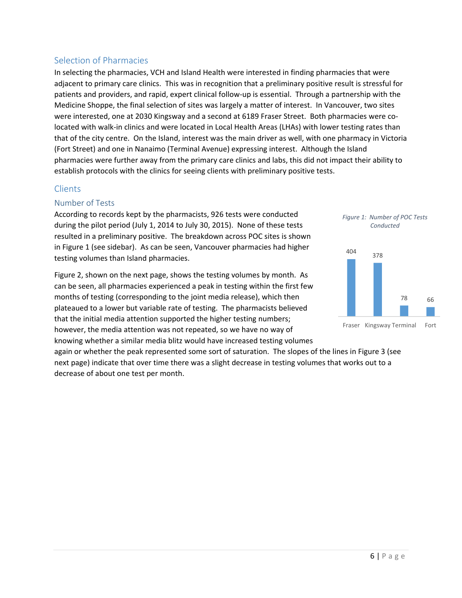## Selection of Pharmacies

In selecting the pharmacies, VCH and Island Health were interested in finding pharmacies that were adjacent to primary care clinics. This was in recognition that a preliminary positive result is stressful for patients and providers, and rapid, expert clinical follow‐up is essential. Through a partnership with the Medicine Shoppe, the final selection of sites was largely a matter of interest. In Vancouver, two sites were interested, one at 2030 Kingsway and a second at 6189 Fraser Street. Both pharmacies were colocated with walk‐in clinics and were located in Local Health Areas (LHAs) with lower testing rates than that of the city centre. On the Island, interest was the main driver as well, with one pharmacy in Victoria (Fort Street) and one in Nanaimo (Terminal Avenue) expressing interest. Although the Island pharmacies were further away from the primary care clinics and labs, this did not impact their ability to establish protocols with the clinics for seeing clients with preliminary positive tests.

## **Clients**

## Number of Tests

According to records kept by the pharmacists, 926 tests were conducted during the pilot period (July 1, 2014 to July 30, 2015). None of these tests resulted in a preliminary positive. The breakdown across POC sites is shown in Figure 1 (see sidebar). As can be seen, Vancouver pharmacies had higher testing volumes than Island pharmacies.

Figure 2, shown on the next page, shows the testing volumes by month. As can be seen, all pharmacies experienced a peak in testing within the first few months of testing (corresponding to the joint media release), which then plateaued to a lower but variable rate of testing. The pharmacists believed that the initial media attention supported the higher testing numbers; however, the media attention was not repeated, so we have no way of knowing whether a similar media blitz would have increased testing volumes



*Figure 1: Number of POC Tests Conducted*



again or whether the peak represented some sort of saturation. The slopes of the lines in Figure 3 (see next page) indicate that over time there was a slight decrease in testing volumes that works out to a decrease of about one test per month.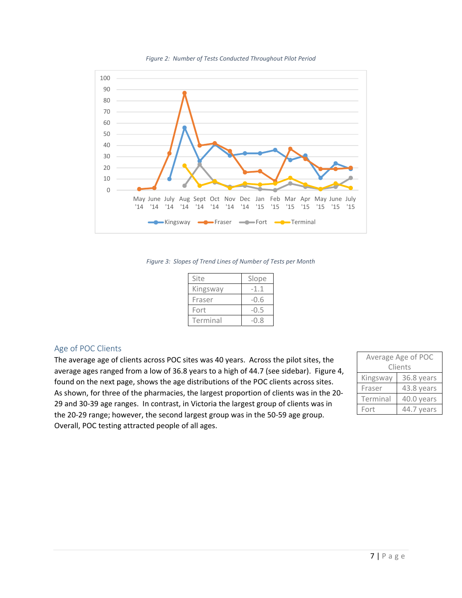

*Figure 2: Number of Tests Conducted Throughout Pilot Period*

*Figure 3: Slopes of Trend Lines of Number of Tests per Month*

| Site     | Slope  |
|----------|--------|
| Kingsway | -1.1   |
| Fraser   | $-0.6$ |
| Fort     | $-0.5$ |
| Terminal | -0.8   |

### Age of POC Clients

The average age of clients across POC sites was 40 years. Across the pilot sites, the average ages ranged from a low of 36.8 years to a high of 44.7 (see sidebar). Figure 4, found on the next page, shows the age distributions of the POC clients across sites. As shown, for three of the pharmacies, the largest proportion of clients was in the 20‐ 29 and 30‐39 age ranges. In contrast, in Victoria the largest group of clients was in the 20‐29 range; however, the second largest group was in the 50‐59 age group. Overall, POC testing attracted people of all ages.

|         | Average Age of POC |            |  |
|---------|--------------------|------------|--|
| Clients |                    |            |  |
|         | Kingsway           | 36.8 years |  |
|         | Fraser             | 43.8 years |  |
|         | Terminal           | 40.0 years |  |
|         | Fort               | 44.7 years |  |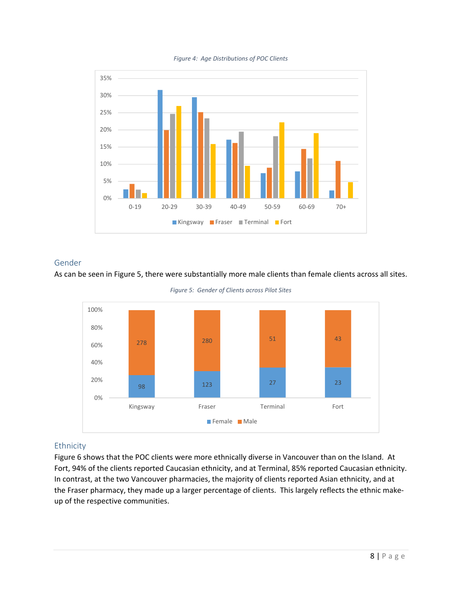



### Gender

#### As can be seen in Figure 5, there were substantially more male clients than female clients across all sites.





## Ethnicity

Figure 6 shows that the POC clients were more ethnically diverse in Vancouver than on the Island. At Fort, 94% of the clients reported Caucasian ethnicity, and at Terminal, 85% reported Caucasian ethnicity. In contrast, at the two Vancouver pharmacies, the majority of clients reported Asian ethnicity, and at the Fraser pharmacy, they made up a larger percentage of clients. This largely reflects the ethnic make‐ up of the respective communities.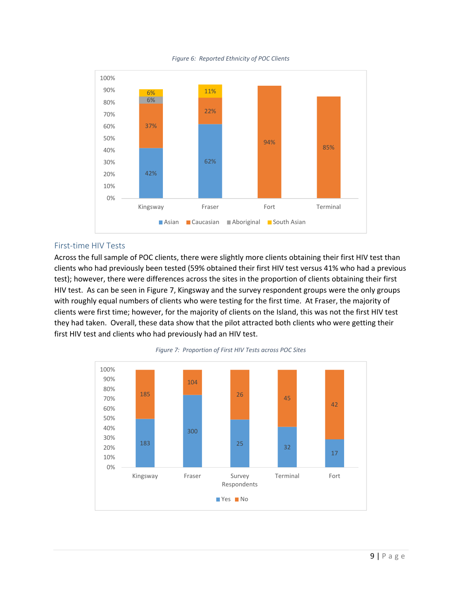



#### First‐time HIV Tests

Across the full sample of POC clients, there were slightly more clients obtaining their first HIV test than clients who had previously been tested (59% obtained their first HIV test versus 41% who had a previous test); however, there were differences across the sites in the proportion of clients obtaining their first HIV test. As can be seen in Figure 7, Kingsway and the survey respondent groups were the only groups with roughly equal numbers of clients who were testing for the first time. At Fraser, the majority of clients were first time; however, for the majority of clients on the Island, this was not the first HIV test they had taken. Overall, these data show that the pilot attracted both clients who were getting their first HIV test and clients who had previously had an HIV test.



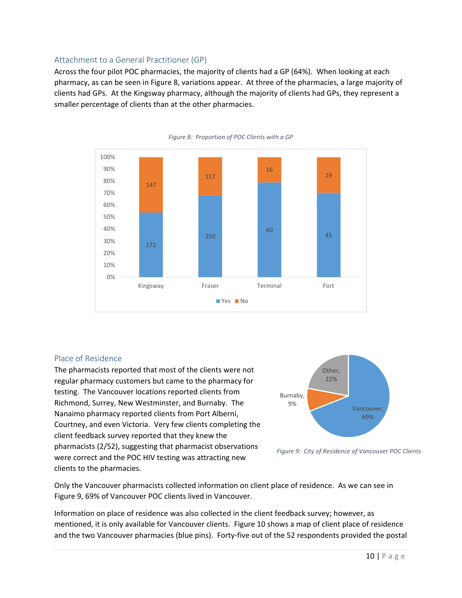### Attachment to a General Practitioner (GP)

Across the four pilot POC pharmacies, the majority of clients had a GP (64%). When looking at each pharmacy, as can be seen in Figure 8, variations appear. At three of the pharmacies, a large majority of clients had GPs. At the Kingsway pharmacy, although the majority of clients had GPs, they represent a smaller percentage of clients than at the other pharmacies.



#### *Figure 8: Proportion of POC Clients with a GP*

#### Place of Residence

The pharmacists reported that most of the clients were not regular pharmacy customers but came to the pharmacy for testing. The Vancouver locations reported clients from Richmond, Surrey, New Westminster, and Burnaby. The Nanaimo pharmacy reported clients from Port Alberni, Courtney, and even Victoria. Very few clients completing the client feedback survey reported that they knew the pharmacists (2/52), suggesting that pharmacist observations were correct and the POC HIV testing was attracting new clients to the pharmacies.



*Figure 9: City of Residence of Vancouver POC Clients*

Only the Vancouver pharmacists collected information on client place of residence. As we can see in Figure 9, 69% of Vancouver POC clients lived in Vancouver.

Information on place of residence was also collected in the client feedback survey; however, as mentioned, it is only available for Vancouver clients. Figure 10 shows a map of client place of residence and the two Vancouver pharmacies (blue pins). Forty-five out of the 52 respondents provided the postal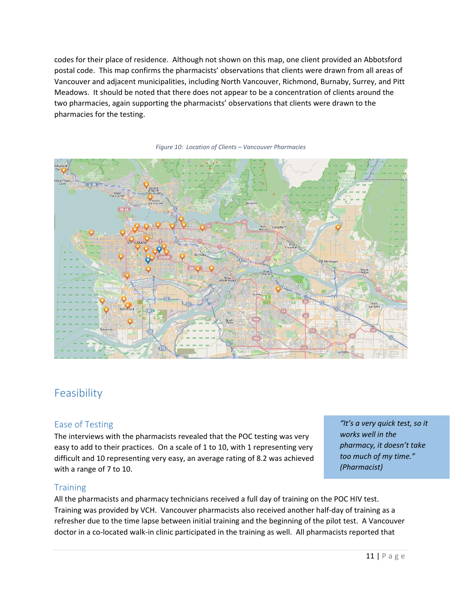codes for their place of residence. Although not shown on this map, one client provided an Abbotsford postal code. This map confirms the pharmacists' observations that clients were drawn from all areas of Vancouver and adjacent municipalities, including North Vancouver, Richmond, Burnaby, Surrey, and Pitt Meadows. It should be noted that there does not appear to be a concentration of clients around the two pharmacies, again supporting the pharmacists' observations that clients were drawn to the pharmacies for the testing.



#### *Figure 10: Location of Clients – Vancouver Pharmacies*

## Feasibility

#### Ease of Testing

The interviews with the pharmacists revealed that the POC testing was very easy to add to their practices. On a scale of 1 to 10, with 1 representing very difficult and 10 representing very easy, an average rating of 8.2 was achieved with a range of 7 to 10.

*"It's a very quick test, so it works well in the pharmacy, it doesn't take too much of my time." (Pharmacist)*

### **Training**

All the pharmacists and pharmacy technicians received a full day of training on the POC HIV test. Training was provided by VCH. Vancouver pharmacists also received another half‐day of training as a refresher due to the time lapse between initial training and the beginning of the pilot test. A Vancouver doctor in a co-located walk-in clinic participated in the training as well. All pharmacists reported that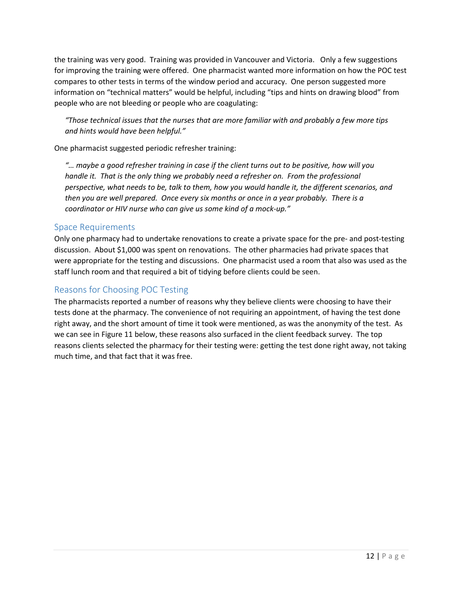the training was very good. Training was provided in Vancouver and Victoria. Only a few suggestions for improving the training were offered. One pharmacist wanted more information on how the POC test compares to other tests in terms of the window period and accuracy. One person suggested more information on "technical matters" would be helpful, including "tips and hints on drawing blood" from people who are not bleeding or people who are coagulating:

*"Those technical issues that the nurses that are more familiar with and probably a few more tips and hints would have been helpful."*

One pharmacist suggested periodic refresher training:

"... maybe a good refresher training in case if the client turns out to be positive, how will you *handle it. That is the only thing we probably need a refresher on. From the professional perspective, what needs to be, talk to them, how you would handle it, the different scenarios, and* then you are well prepared. Once every six months or once in a year probably. There is a *coordinator or HIV nurse who can give us some kind of a mock‐up."*

## Space Requirements

Only one pharmacy had to undertake renovations to create a private space for the pre‐ and post‐testing discussion. About \$1,000 was spent on renovations. The other pharmacies had private spaces that were appropriate for the testing and discussions. One pharmacist used a room that also was used as the staff lunch room and that required a bit of tidying before clients could be seen.

## Reasons for Choosing POC Testing

The pharmacists reported a number of reasons why they believe clients were choosing to have their tests done at the pharmacy. The convenience of not requiring an appointment, of having the test done right away, and the short amount of time it took were mentioned, as was the anonymity of the test. As we can see in Figure 11 below, these reasons also surfaced in the client feedback survey. The top reasons clients selected the pharmacy for their testing were: getting the test done right away, not taking much time, and that fact that it was free.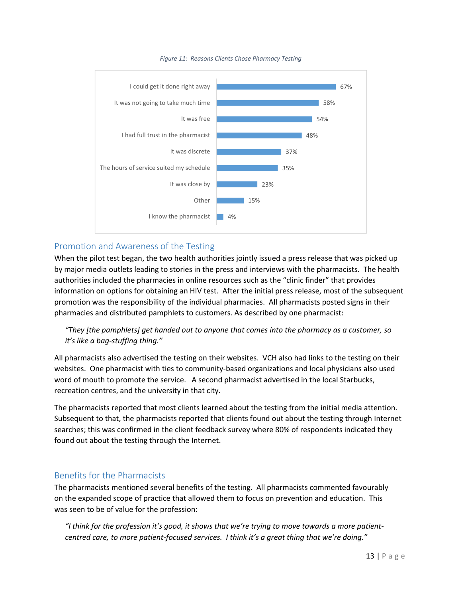

#### *Figure 11: Reasons Clients Chose Pharmacy Testing*

## Promotion and Awareness of the Testing

When the pilot test began, the two health authorities jointly issued a press release that was picked up by major media outlets leading to stories in the press and interviews with the pharmacists. The health authorities included the pharmacies in online resources such as the "clinic finder" that provides information on options for obtaining an HIV test. After the initial press release, most of the subsequent promotion was the responsibility of the individual pharmacies. All pharmacists posted signs in their pharmacies and distributed pamphlets to customers. As described by one pharmacist:

## *"They [the pamphlets] get handed out to anyone that comes into the pharmacy as a customer, so it's like a bag‐stuffing thing."*

All pharmacists also advertised the testing on their websites. VCH also had links to the testing on their websites. One pharmacist with ties to community-based organizations and local physicians also used word of mouth to promote the service. A second pharmacist advertised in the local Starbucks, recreation centres, and the university in that city.

The pharmacists reported that most clients learned about the testing from the initial media attention. Subsequent to that, the pharmacists reported that clients found out about the testing through Internet searches; this was confirmed in the client feedback survey where 80% of respondents indicated they found out about the testing through the Internet.

## Benefits for the Pharmacists

The pharmacists mentioned several benefits of the testing. All pharmacists commented favourably on the expanded scope of practice that allowed them to focus on prevention and education. This was seen to be of value for the profession:

"I think for the profession it's good, it shows that we're trying to move towards a more patient*centred care, to more patient‐focused services. I think it's a great thing that we're doing."*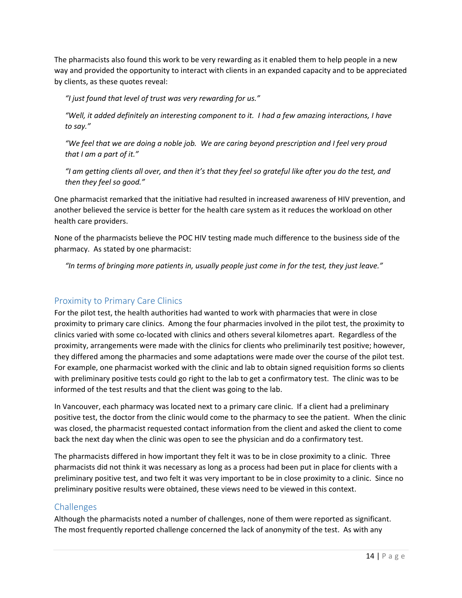The pharmacists also found this work to be very rewarding as it enabled them to help people in a new way and provided the opportunity to interact with clients in an expanded capacity and to be appreciated by clients, as these quotes reveal:

*"I just found that level of trust was very rewarding for us."*

"Well, it added definitely an interesting component to it. I had a few amazing interactions, I have *to say."*

"We feel that we are doing a noble job. We are caring beyond prescription and I feel very proud *that I am a part of it."*

"I am getting clients all over, and then it's that they feel so grateful like after you do the test, and *then they feel so good."*

One pharmacist remarked that the initiative had resulted in increased awareness of HIV prevention, and another believed the service is better for the health care system as it reduces the workload on other health care providers.

None of the pharmacists believe the POC HIV testing made much difference to the business side of the pharmacy. As stated by one pharmacist:

"In terms of bringing more patients in, usually people just come in for the test, they just leave."

## Proximity to Primary Care Clinics

For the pilot test, the health authorities had wanted to work with pharmacies that were in close proximity to primary care clinics. Among the four pharmacies involved in the pilot test, the proximity to clinics varied with some co‐located with clinics and others several kilometres apart. Regardless of the proximity, arrangements were made with the clinics for clients who preliminarily test positive; however, they differed among the pharmacies and some adaptations were made over the course of the pilot test. For example, one pharmacist worked with the clinic and lab to obtain signed requisition forms so clients with preliminary positive tests could go right to the lab to get a confirmatory test. The clinic was to be informed of the test results and that the client was going to the lab.

In Vancouver, each pharmacy was located next to a primary care clinic. If a client had a preliminary positive test, the doctor from the clinic would come to the pharmacy to see the patient. When the clinic was closed, the pharmacist requested contact information from the client and asked the client to come back the next day when the clinic was open to see the physician and do a confirmatory test.

The pharmacists differed in how important they felt it was to be in close proximity to a clinic. Three pharmacists did not think it was necessary as long as a process had been put in place for clients with a preliminary positive test, and two felt it was very important to be in close proximity to a clinic. Since no preliminary positive results were obtained, these views need to be viewed in this context.

### **Challenges**

Although the pharmacists noted a number of challenges, none of them were reported as significant. The most frequently reported challenge concerned the lack of anonymity of the test. As with any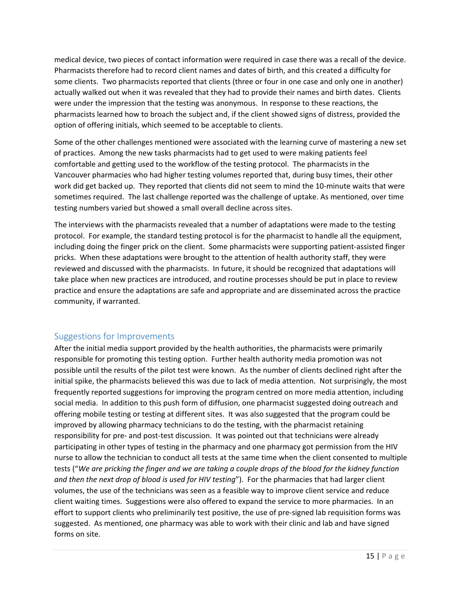medical device, two pieces of contact information were required in case there was a recall of the device. Pharmacists therefore had to record client names and dates of birth, and this created a difficulty for some clients. Two pharmacists reported that clients (three or four in one case and only one in another) actually walked out when it was revealed that they had to provide their names and birth dates. Clients were under the impression that the testing was anonymous. In response to these reactions, the pharmacists learned how to broach the subject and, if the client showed signs of distress, provided the option of offering initials, which seemed to be acceptable to clients.

Some of the other challenges mentioned were associated with the learning curve of mastering a new set of practices. Among the new tasks pharmacists had to get used to were making patients feel comfortable and getting used to the workflow of the testing protocol. The pharmacists in the Vancouver pharmacies who had higher testing volumes reported that, during busy times, their other work did get backed up. They reported that clients did not seem to mind the 10-minute waits that were sometimes required. The last challenge reported was the challenge of uptake. As mentioned, over time testing numbers varied but showed a small overall decline across sites.

The interviews with the pharmacists revealed that a number of adaptations were made to the testing protocol. For example, the standard testing protocol is for the pharmacist to handle all the equipment, including doing the finger prick on the client. Some pharmacists were supporting patient‐assisted finger pricks. When these adaptations were brought to the attention of health authority staff, they were reviewed and discussed with the pharmacists. In future, it should be recognized that adaptations will take place when new practices are introduced, and routine processes should be put in place to review practice and ensure the adaptations are safe and appropriate and are disseminated across the practice community, if warranted.

## Suggestions for Improvements

After the initial media support provided by the health authorities, the pharmacists were primarily responsible for promoting this testing option. Further health authority media promotion was not possible until the results of the pilot test were known. As the number of clients declined right after the initial spike, the pharmacists believed this was due to lack of media attention. Not surprisingly, the most frequently reported suggestions for improving the program centred on more media attention, including social media. In addition to this push form of diffusion, one pharmacist suggested doing outreach and offering mobile testing or testing at different sites. It was also suggested that the program could be improved by allowing pharmacy technicians to do the testing, with the pharmacist retaining responsibility for pre- and post-test discussion. It was pointed out that technicians were already participating in other types of testing in the pharmacy and one pharmacy got permission from the HIV nurse to allow the technician to conduct all tests at the same time when the client consented to multiple tests ("We are pricking the finger and we are taking a couple drops of the blood for the kidney function *and then the next drop of blood is used for HIV testing*"). For the pharmacies that had larger client volumes, the use of the technicians was seen as a feasible way to improve client service and reduce client waiting times. Suggestions were also offered to expand the service to more pharmacies. In an effort to support clients who preliminarily test positive, the use of pre-signed lab requisition forms was suggested. As mentioned, one pharmacy was able to work with their clinic and lab and have signed forms on site.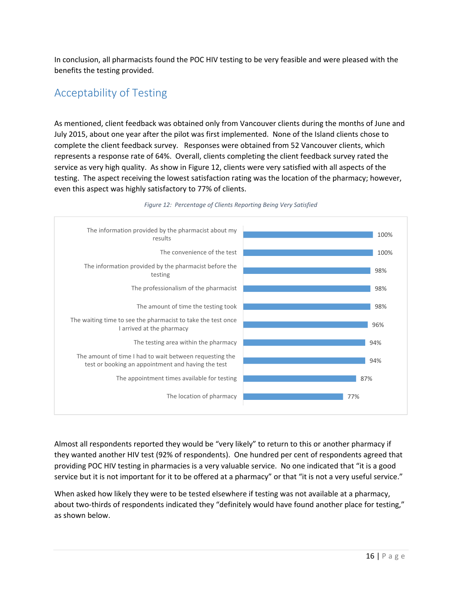In conclusion, all pharmacists found the POC HIV testing to be very feasible and were pleased with the benefits the testing provided.

## Acceptability of Testing

As mentioned, client feedback was obtained only from Vancouver clients during the months of June and July 2015, about one year after the pilot was first implemented. None of the Island clients chose to complete the client feedback survey. Responses were obtained from 52 Vancouver clients, which represents a response rate of 64%. Overall, clients completing the client feedback survey rated the service as very high quality. As show in Figure 12, clients were very satisfied with all aspects of the testing. The aspect receiving the lowest satisfaction rating was the location of the pharmacy; however, even this aspect was highly satisfactory to 77% of clients.



#### *Figure 12: Percentage of Clients Reporting Being Very Satisfied*

Almost all respondents reported they would be "very likely" to return to this or another pharmacy if they wanted another HIV test (92% of respondents). One hundred per cent of respondents agreed that providing POC HIV testing in pharmacies is a very valuable service. No one indicated that "it is a good service but it is not important for it to be offered at a pharmacy" or that "it is not a very useful service."

When asked how likely they were to be tested elsewhere if testing was not available at a pharmacy, about two-thirds of respondents indicated they "definitely would have found another place for testing," as shown below.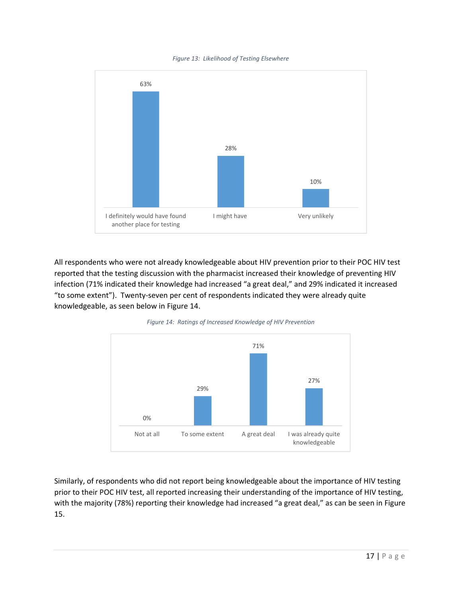*Figure 13: Likelihood of Testing Elsewhere*



All respondents who were not already knowledgeable about HIV prevention prior to their POC HIV test reported that the testing discussion with the pharmacist increased their knowledge of preventing HIV infection (71% indicated their knowledge had increased "a great deal," and 29% indicated it increased "to some extent"). Twenty‐seven per cent of respondents indicated they were already quite knowledgeable, as seen below in Figure 14.



*Figure 14: Ratings of Increased Knowledge of HIV Prevention*

Similarly, of respondents who did not report being knowledgeable about the importance of HIV testing prior to their POC HIV test, all reported increasing their understanding of the importance of HIV testing, with the majority (78%) reporting their knowledge had increased "a great deal," as can be seen in Figure 15.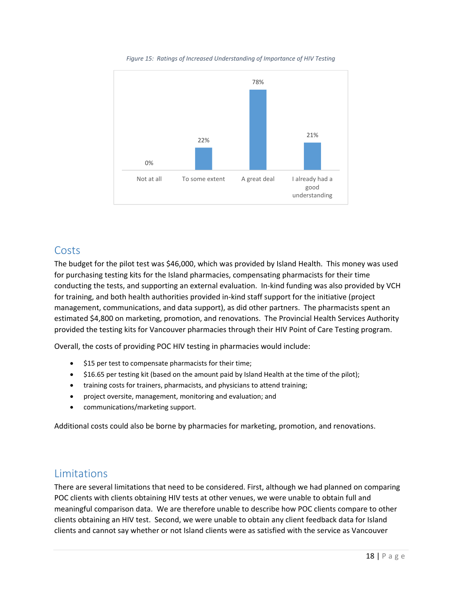

*Figure 15: Ratings of Increased Understanding of Importance of HIV Testing*

## **Costs**

The budget for the pilot test was \$46,000, which was provided by Island Health. This money was used for purchasing testing kits for the Island pharmacies, compensating pharmacists for their time conducting the tests, and supporting an external evaluation. In-kind funding was also provided by VCH for training, and both health authorities provided in‐kind staff support for the initiative (project management, communications, and data support), as did other partners. The pharmacists spent an estimated \$4,800 on marketing, promotion, and renovations. The Provincial Health Services Authority provided the testing kits for Vancouver pharmacies through their HIV Point of Care Testing program.

Overall, the costs of providing POC HIV testing in pharmacies would include:

- $\bullet$  \$15 per test to compensate pharmacists for their time;
- \$16.65 per testing kit (based on the amount paid by Island Health at the time of the pilot);
- training costs for trainers, pharmacists, and physicians to attend training;
- project oversite, management, monitoring and evaluation; and
- communications/marketing support.

Additional costs could also be borne by pharmacies for marketing, promotion, and renovations.

## Limitations

There are several limitations that need to be considered. First, although we had planned on comparing POC clients with clients obtaining HIV tests at other venues, we were unable to obtain full and meaningful comparison data. We are therefore unable to describe how POC clients compare to other clients obtaining an HIV test. Second, we were unable to obtain any client feedback data for Island clients and cannot say whether or not Island clients were as satisfied with the service as Vancouver